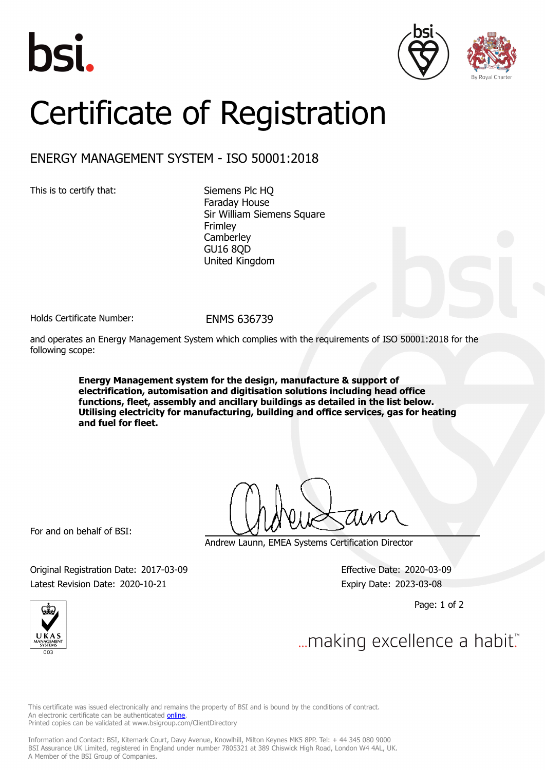





## Certificate of Registration

## ENERGY MANAGEMENT SYSTEM - ISO 50001:2018

This is to certify that: Siemens Plc HQ

Faraday House Sir William Siemens Square Frimley **Camberley** GU16 8QD United Kingdom

Holds Certificate Number: ENMS 636739

and operates an Energy Management System which complies with the requirements of ISO 50001:2018 for the following scope:

> **Energy Management system for the design, manufacture & support of electrification, automisation and digitisation solutions including head office functions, fleet, assembly and ancillary buildings as detailed in the list below. Utilising electricity for manufacturing, building and office services, gas for heating and fuel for fleet.**

For and on behalf of BSI:

Andrew Launn, EMEA Systems Certification Director

Original Registration Date: 2017-03-09 Effective Date: 2020-03-09 Latest Revision Date: 2020-10-21 Expiry Date: 2023-03-08

Page: 1 of 2



... making excellence a habit."

This certificate was issued electronically and remains the property of BSI and is bound by the conditions of contract. An electronic certificate can be authenticated **online**. Printed copies can be validated at www.bsigroup.com/ClientDirectory

Information and Contact: BSI, Kitemark Court, Davy Avenue, Knowlhill, Milton Keynes MK5 8PP. Tel: + 44 345 080 9000 BSI Assurance UK Limited, registered in England under number 7805321 at 389 Chiswick High Road, London W4 4AL, UK. A Member of the BSI Group of Companies.